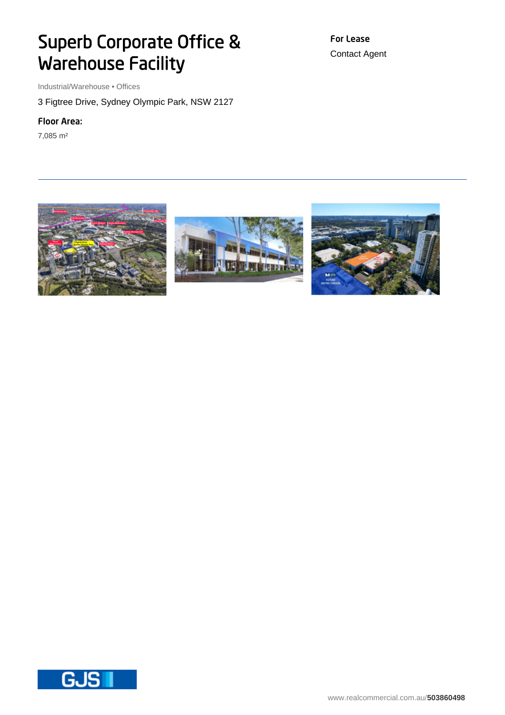## Superb Corporate Office & Warehouse Facility

Industrial/Warehouse • Offices

3 Figtree Drive, Sydney Olympic Park, NSW 2127

## Floor Area:

7,085 m²

For Lease Contact Agent